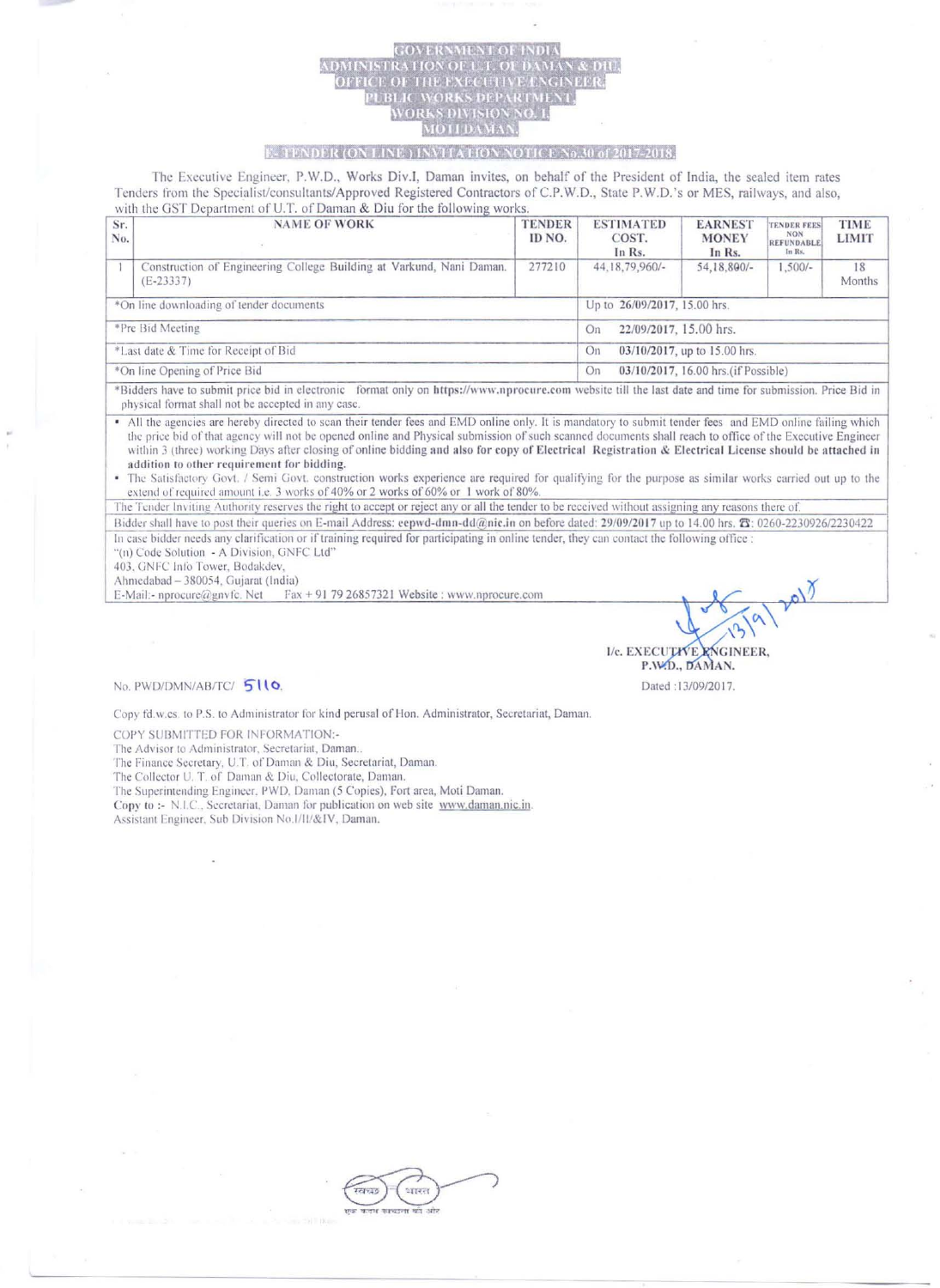## **E-TENDER (ON LINE) INVITATIO** NOTICE No.30 of 2017-2018.

The Executive Engineer, P.W.D., Works Div.I, Daman invites, on behalf of the President of India, the sealed item rates Tenders from the Specialist/consultants/Approved Registered Contractors of C.P.W.D., State P.W.D.'s or MES, railways, and also, with the GST Department of U.T. of Daman & Diu for the following works.

| Sr.<br>No.                               | <b>NAME OF WORK</b>                                                                                                                                            | <b>TENDER</b><br>ID NO. | <b>ESTIMATED</b><br>COST.<br>In Rs.       | <b>EARNEST</b><br><b>MONEY</b><br>In Rs. | <b>TENDER FEES</b><br><b>NON</b><br>REFUNDABLE<br>In Rs. | <b>TIME</b><br><b>LIMIT</b> |  |
|------------------------------------------|----------------------------------------------------------------------------------------------------------------------------------------------------------------|-------------------------|-------------------------------------------|------------------------------------------|----------------------------------------------------------|-----------------------------|--|
|                                          | Construction of Engineering College Building at Varkund, Nani Daman.<br>$(E - 23337)$                                                                          | 277210                  | 44, 18, 79, 960/-                         | 54,18,800/-                              | $1,500/-$                                                | 18<br>Months                |  |
| *On line downloading of tender documents |                                                                                                                                                                |                         | Up to 26/09/2017, 15.00 hrs.              |                                          |                                                          |                             |  |
| *Pre Bid Meeting                         |                                                                                                                                                                |                         | 22/09/2017, 15.00 hrs.<br>On              |                                          |                                                          |                             |  |
| *Last date & Time for Receipt of Bid     |                                                                                                                                                                |                         | 03/10/2017, up to 15.00 hrs.<br>On        |                                          |                                                          |                             |  |
| *On line Opening of Price Bid            |                                                                                                                                                                |                         | 03/10/2017, 16.00 hrs.(if Possible)<br>On |                                          |                                                          |                             |  |
|                                          | entil a boom of which offer bid is straightful further as been themedia and send the state off about the four description is the first of the natural problem. |                         |                                           |                                          |                                                          |                             |  |

\*Bidders have to submit price bid in electronic format only on https://www.nprocure.com website till the last date and time for submission. Price Bid in physical format shall not be accepted in any case.

All the agencies are hereby directed to scan their tender fees and EMD online only. It is mandatory to submit tender fees and EMD online failing which the price bid of that agency will not be opened online and Physical submission of such scanned documents shall reach to office of the Executive Engineer within 3 (three) working Days after closing of online bidding and also for copy of Electrical Registration & Electrical License should be attached in addition to other requirement for bidding.

The Satisfactory Govt. / Semi Govt. construction works experience are required for qualifying for the purpose as similar works carried out up to the extend of required amount i.e. 3 works of 40% or 2 works of 60% or 1 work of 80%.

The Tender Inviting Authority reserves the right to accept or reject any or all the tender to be received without assigning any reasons there of. Bidder shall have to post their queries on E-mail Address: eepwd-dmn-dd@nic.in on before dated: 29/09/2017 up to 14.00 hrs. T: 0260-2230926/2230422

In case bidder needs any clarification or if training required for participating in online tender, they can contact the following office : "(n) Code Solution - A Division, GNFC Ltd"

403, GNFC Info Tower, Bodakdev

Ahmedabad - 380054, Gujarat (India)

E-Mail:- nprocure@gnvfc. Net Fax + 91 79 26857321 Website: www.nprocure.com

I/c. EXECUTIVE RNGINEER, P.W.D., DAMAN. Dated :13/09/2017.

nolt

No. PWD/DMN/AB/TC/510.

Copy fd.w.cs. to P.S. to Administrator for kind perusal of Hon. Administrator, Secretariat, Daman.

COPY SUBMITTED FOR INFORMATION:-

The Advisor to Administrator, Secretariat, Daman..

The Finance Secretary, U.T. of Daman & Diu, Secretariat, Daman.

The Collector U. T. of Daman & Diu, Collectorate, Daman.

The Superintending Engineer, PWD, Daman (5 Copies), Fort area, Moti Daman.

Copy to :- N.I.C., Secretariat, Daman for publication on web site www.daman.nic.in.

Assistant Engineer, Sub Division No.1/11/&IV, Daman.